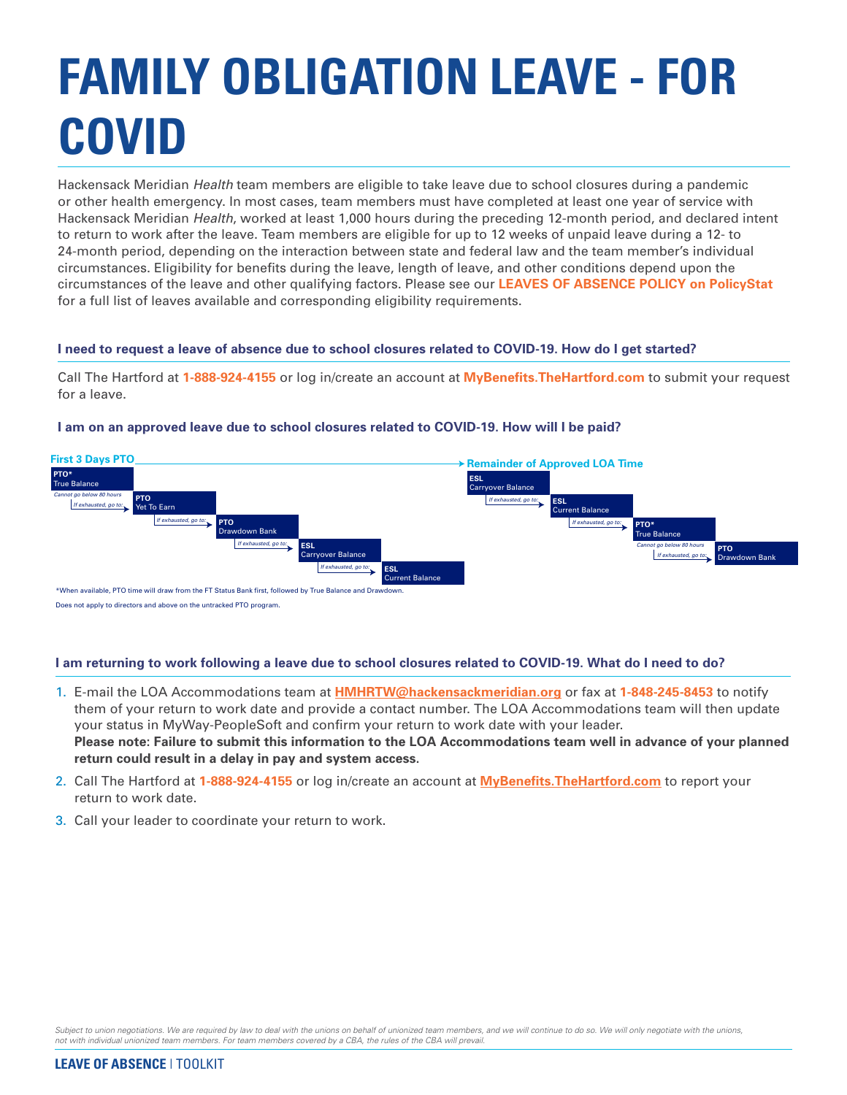# **FAMILY OBLIGATION LEAVE - FOR COVID**

Hackensack Meridian *Health* team members are eligible to take leave due to school closures during a pandemic or other health emergency. In most cases, team members must have completed at least one year of service with Hackensack Meridian *Health*, worked at least 1,000 hours during the preceding 12-month period, and declared intent to return to work after the leave. Team members are eligible for up to 12 weeks of unpaid leave during a 12- to 24-month period, depending on the interaction between state and federal law and the team member's individual circumstances. Eligibility for benefits during the leave, length of leave, and other conditions depend upon the circumstances of the leave and other qualifying factors. Please see our **LEAVES OF ABSENCE POLICY on PolicyStat** for a full list of leaves available and corresponding eligibility requirements.

### **I need to request a leave of absence due to school closures related to COVID-19. How do I get started?**

Call The Hartford at **1-888-924-4155** or log in/create an account at **MyBenefits.TheHartford.com** to submit your request for a leave.

#### **PTO\* Tre Balance PTO** Yet To Earn **First 3 Days PTO** *Cannot go below 80 hours If exhausted, go to:* **PTO** Drawdown Bank *If exhausted, go to:* **ESL** Current Balance *If exhausted, go to:* **ESL** .<br>Carrvover Balan *If exhausted, go to:* **Remainder of Approved LOA Time PTO\*** True Balance **PTO** down Bank *Cannot go below 80 hours If exhausted, go to:* **ESL** Current Balance *If exhausted, go to:* **ESL** Carryover Balance *If exhausted, go to:* \*When available, PTO time will draw from the FT Status Bank first, followed by True Balance and Dra Does not apply to directors and above on the untracked PTO program.

## **I am on an approved leave due to school closures related to COVID-19. How will I be paid?**

## **I am returning to work following a leave due to school closures related to COVID-19. What do I need to do?**

- 1. E-mail the LOA Accommodations team at **[HMHRTW@hackensackmeridian.org](email to: HMHRTW@hackensackmeridian.org)** or fax at **1-848-245-8453** to notify them of your return to work date and provide a contact number. The LOA Accommodations team will then update your status in MyWay-PeopleSoft and confirm your return to work date with your leader. **Please note: Failure to submit this information to the LOA Accommodations team well in advance of your planned return could result in a delay in pay and system access.**
- 2. Call The Hartford at **1-888-924-4155** or log in/create an account at **MyBenefits.TheHartford.com** to report your return to work date.
- 3. Call your leader to coordinate your return to work.

Subject to union negotiations. We are required by law to deal with the unions on behalf of unionized team members, and we will continue to do so. We will only negotiate with the unions,<br>not with individual unionized team m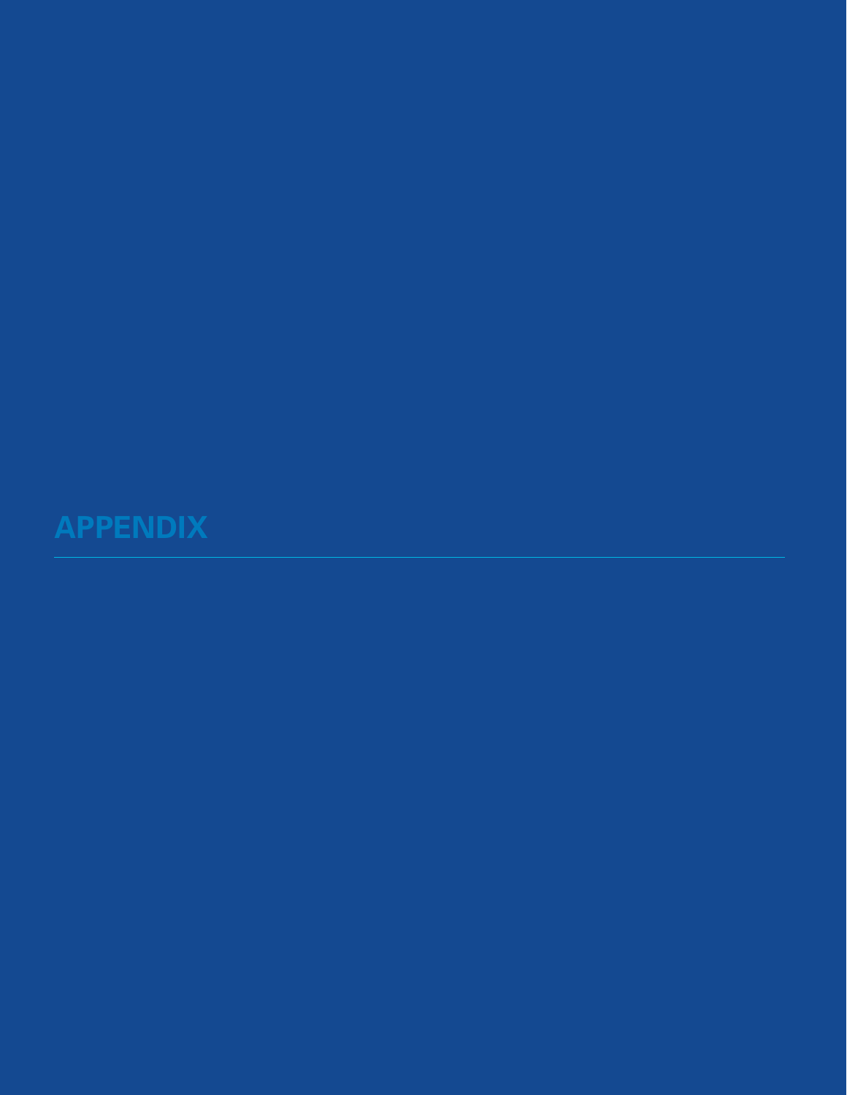**APPENDIX**